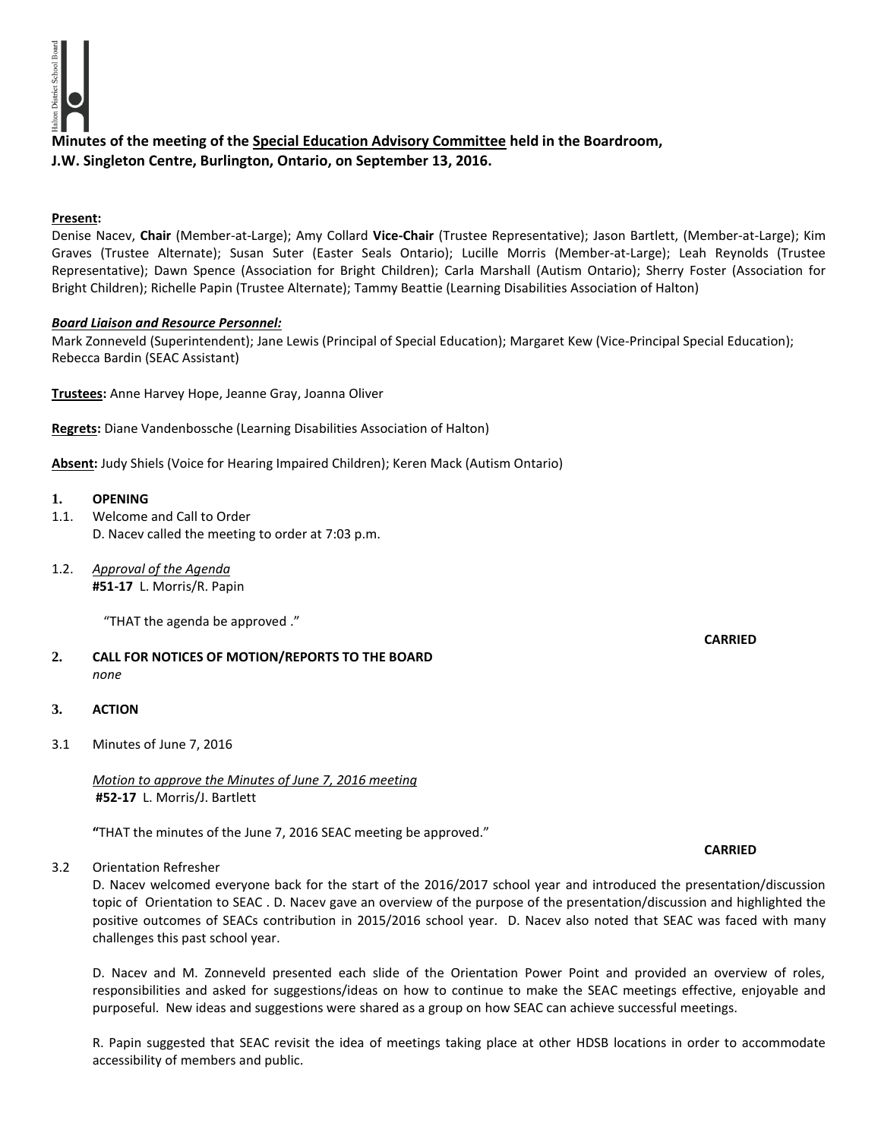

# **Minutes of the meeting of the Special Education Advisory Committee held in the Boardroom, J.W. Singleton Centre, Burlington, Ontario, on September 13, 2016.**

### **Present:**

Denise Nacev, **Chair** (Member-at-Large); Amy Collard **Vice-Chair** (Trustee Representative); Jason Bartlett, (Member-at-Large); Kim Graves (Trustee Alternate); Susan Suter (Easter Seals Ontario); Lucille Morris (Member-at-Large); Leah Reynolds (Trustee Representative); Dawn Spence (Association for Bright Children); Carla Marshall (Autism Ontario); Sherry Foster (Association for Bright Children); Richelle Papin (Trustee Alternate); Tammy Beattie (Learning Disabilities Association of Halton)

#### *Board Liaison and Resource Personnel:*

Mark Zonneveld (Superintendent); Jane Lewis (Principal of Special Education); Margaret Kew (Vice-Principal Special Education); Rebecca Bardin (SEAC Assistant)

**Trustees:** Anne Harvey Hope, Jeanne Gray, Joanna Oliver

**Regrets:** Diane Vandenbossche (Learning Disabilities Association of Halton)

**Absent:** Judy Shiels (Voice for Hearing Impaired Children); Keren Mack (Autism Ontario)

#### **1. OPENING**

- 1.1. Welcome and Call to Order D. Nacev called the meeting to order at 7:03 p.m.
- 1.2. *Approval of the Agenda* **#51-17** L. Morris/R. Papin

"THAT the agenda be approved ."

# **2. CALL FOR NOTICES OF MOTION/REPORTS TO THE BOARD** *none*

#### **3. ACTION**

3.1 Minutes of June 7, 2016

*Motion to approve the Minutes of June 7, 2016 meeting*  **#52-17** L. Morris/J. Bartlett

**"**THAT the minutes of the June 7, 2016 SEAC meeting be approved."

3.2 Orientation Refresher

D. Nacev welcomed everyone back for the start of the 2016/2017 school year and introduced the presentation/discussion topic of Orientation to SEAC . D. Nacev gave an overview of the purpose of the presentation/discussion and highlighted the positive outcomes of SEACs contribution in 2015/2016 school year. D. Nacev also noted that SEAC was faced with many challenges this past school year.

D. Nacev and M. Zonneveld presented each slide of the Orientation Power Point and provided an overview of roles, responsibilities and asked for suggestions/ideas on how to continue to make the SEAC meetings effective, enjoyable and purposeful. New ideas and suggestions were shared as a group on how SEAC can achieve successful meetings.

R. Papin suggested that SEAC revisit the idea of meetings taking place at other HDSB locations in order to accommodate accessibility of members and public.

# **CARRIED**

#### **CARRIED**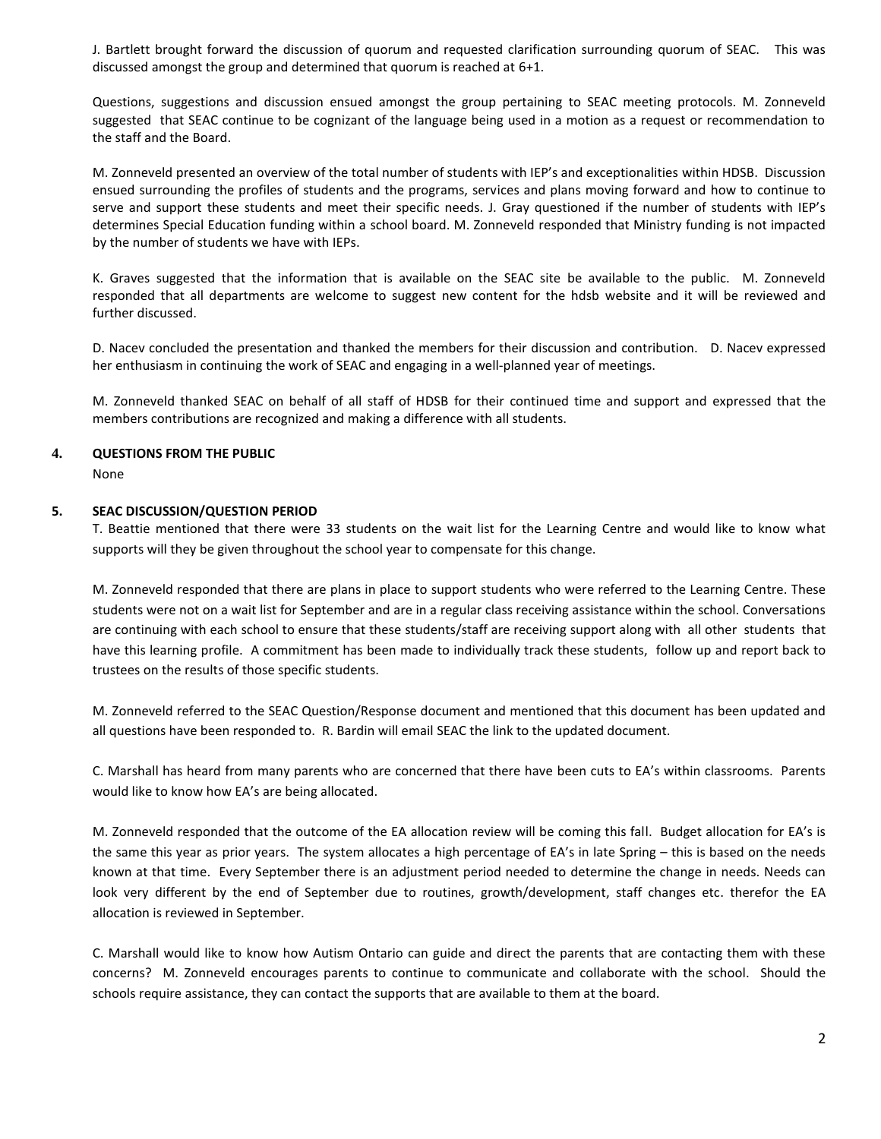J. Bartlett brought forward the discussion of quorum and requested clarification surrounding quorum of SEAC. This was discussed amongst the group and determined that quorum is reached at 6+1.

Questions, suggestions and discussion ensued amongst the group pertaining to SEAC meeting protocols. M. Zonneveld suggested that SEAC continue to be cognizant of the language being used in a motion as a request or recommendation to the staff and the Board.

M. Zonneveld presented an overview of the total number of students with IEP's and exceptionalities within HDSB. Discussion ensued surrounding the profiles of students and the programs, services and plans moving forward and how to continue to serve and support these students and meet their specific needs. J. Gray questioned if the number of students with IEP's determines Special Education funding within a school board. M. Zonneveld responded that Ministry funding is not impacted by the number of students we have with IEPs.

K. Graves suggested that the information that is available on the SEAC site be available to the public. M. Zonneveld responded that all departments are welcome to suggest new content for the hdsb website and it will be reviewed and further discussed.

D. Nacev concluded the presentation and thanked the members for their discussion and contribution. D. Nacev expressed her enthusiasm in continuing the work of SEAC and engaging in a well-planned year of meetings.

M. Zonneveld thanked SEAC on behalf of all staff of HDSB for their continued time and support and expressed that the members contributions are recognized and making a difference with all students.

#### **4. QUESTIONS FROM THE PUBLIC**

None

#### **5. SEAC DISCUSSION/QUESTION PERIOD**

T. Beattie mentioned that there were 33 students on the wait list for the Learning Centre and would like to know what supports will they be given throughout the school year to compensate for this change.

M. Zonneveld responded that there are plans in place to support students who were referred to the Learning Centre. These students were not on a wait list for September and are in a regular class receiving assistance within the school. Conversations are continuing with each school to ensure that these students/staff are receiving support along with all other students that have this learning profile. A commitment has been made to individually track these students, follow up and report back to trustees on the results of those specific students.

M. Zonneveld referred to the SEAC Question/Response document and mentioned that this document has been updated and all questions have been responded to. R. Bardin will email SEAC the link to the updated document.

C. Marshall has heard from many parents who are concerned that there have been cuts to EA's within classrooms. Parents would like to know how EA's are being allocated.

M. Zonneveld responded that the outcome of the EA allocation review will be coming this fall. Budget allocation for EA's is the same this year as prior years. The system allocates a high percentage of EA's in late Spring – this is based on the needs known at that time. Every September there is an adjustment period needed to determine the change in needs. Needs can look very different by the end of September due to routines, growth/development, staff changes etc. therefor the EA allocation is reviewed in September.

C. Marshall would like to know how Autism Ontario can guide and direct the parents that are contacting them with these concerns? M. Zonneveld encourages parents to continue to communicate and collaborate with the school. Should the schools require assistance, they can contact the supports that are available to them at the board.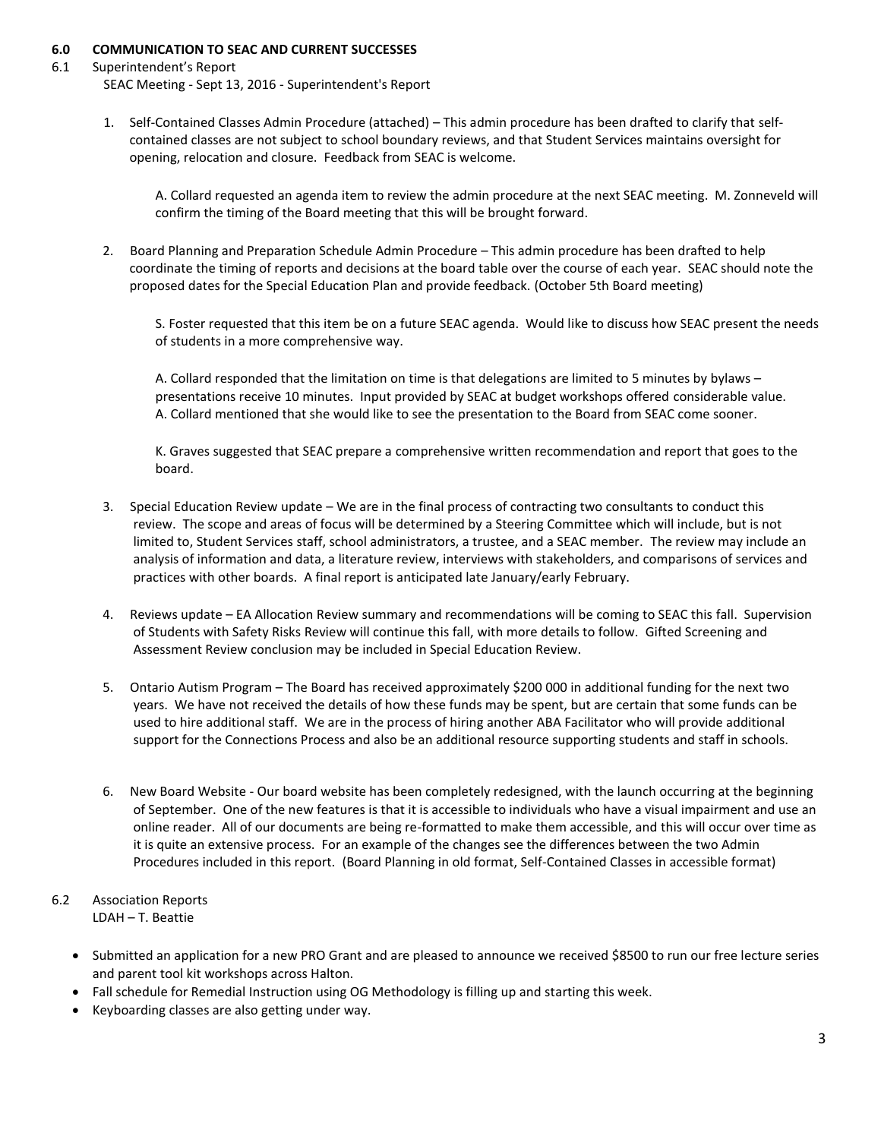### **6.0 COMMUNICATION TO SEAC AND CURRENT SUCCESSES**

### 6.1 Superintendent's Report

SEAC Meeting - Sept 13, 2016 - Superintendent's Report

1. Self-Contained Classes Admin Procedure (attached) – This admin procedure has been drafted to clarify that selfcontained classes are not subject to school boundary reviews, and that Student Services maintains oversight for opening, relocation and closure. Feedback from SEAC is welcome.

A. Collard requested an agenda item to review the admin procedure at the next SEAC meeting. M. Zonneveld will confirm the timing of the Board meeting that this will be brought forward.

2. Board Planning and Preparation Schedule Admin Procedure – This admin procedure has been drafted to help coordinate the timing of reports and decisions at the board table over the course of each year. SEAC should note the proposed dates for the Special Education Plan and provide feedback. (October 5th Board meeting)

S. Foster requested that this item be on a future SEAC agenda. Would like to discuss how SEAC present the needs of students in a more comprehensive way.

A. Collard responded that the limitation on time is that delegations are limited to 5 minutes by bylaws – presentations receive 10 minutes. Input provided by SEAC at budget workshops offered considerable value. A. Collard mentioned that she would like to see the presentation to the Board from SEAC come sooner.

K. Graves suggested that SEAC prepare a comprehensive written recommendation and report that goes to the board.

- 3. Special Education Review update We are in the final process of contracting two consultants to conduct this review. The scope and areas of focus will be determined by a Steering Committee which will include, but is not limited to, Student Services staff, school administrators, a trustee, and a SEAC member. The review may include an analysis of information and data, a literature review, interviews with stakeholders, and comparisons of services and practices with other boards. A final report is anticipated late January/early February.
- 4. Reviews update EA Allocation Review summary and recommendations will be coming to SEAC this fall. Supervision of Students with Safety Risks Review will continue this fall, with more details to follow. Gifted Screening and Assessment Review conclusion may be included in Special Education Review.
- 5. Ontario Autism Program The Board has received approximately \$200 000 in additional funding for the next two years. We have not received the details of how these funds may be spent, but are certain that some funds can be used to hire additional staff. We are in the process of hiring another ABA Facilitator who will provide additional support for the Connections Process and also be an additional resource supporting students and staff in schools.
- 6. New Board Website Our board website has been completely redesigned, with the launch occurring at the beginning of September. One of the new features is that it is accessible to individuals who have a visual impairment and use an online reader. All of our documents are being re-formatted to make them accessible, and this will occur over time as it is quite an extensive process. For an example of the changes see the differences between the two Admin Procedures included in this report. (Board Planning in old format, Self-Contained Classes in accessible format)
- 6.2 Association Reports LDAH – T. Beattie
	- Submitted an application for a new PRO Grant and are pleased to announce we received \$8500 to run our free lecture series and parent tool kit workshops across Halton.
	- Fall schedule for Remedial Instruction using OG Methodology is filling up and starting this week.
	- Keyboarding classes are also getting under way.